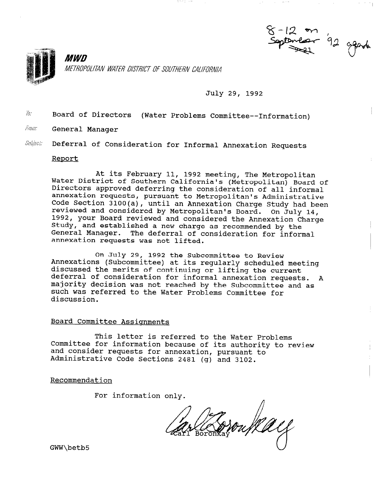

# July 29, 1992

 $7a$ Board of Directors (Water Problems Committee--Information)

- From: General Manager
- Subisci: Deferral of Consideration for Informal Annexation Requests

# Report

At its February 11, 1992 meeting, The Metropolitan Water District of Southern California's (Metropolitan) Board of Directors approved deferring the consideration of all informal annexation requests, pursuant to Metropolitan's Administrative Code Section 3100(a), until an Annexation Charge Study had been reviewed and considered by Metropolitan's Board. On July 14, 1992, your Board reviewed and considered the Annexation Charge Study, and established a new charge as recommended by the General Manager. The deferral of consideration for informal annexation requests was not lifted.

On July 29, 1992 the Subcommittee to Review Annexations (Subcommittee) at its regularly scheduled meeting discussed the merits of continuing or lifting the current dibodbood che merits of continuing of firting the current. majority decision was not reached by the Subcommittee and as majority decision was not reached by the Subcommittee and as such was referred to the Water Problems Committee for discussion.

### Board Committee Assiqnments

This letter is referred to the Water Problems Committee for information because of its authority to review committee for information because of its authorit and consider requests for annexation, pursuant

Recommendation

For information only.

son flæel

GWW\betb5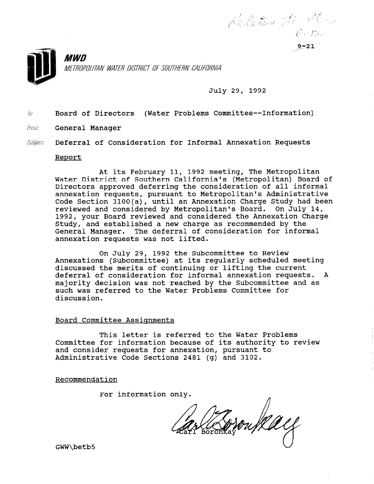

July 29, 1992

Related the More

 $\tilde{w}$  Board of Directors (Water Problems Committee--Information)

- From: General Manager
- Subiect: Deferral of Consideration for Informal Annexation Requests

### Report

At its February 11, 1992 meeting, The Metropolitan Water District of Southern California's (Metropolitan) Board of Directors approved deferring the consideration of all informal annexation requests, pursuant to Metropolitan's Administrative Code Section 3100(a), until an Annexation Charge Study had been reviewed and considered by Metropolitan's Board. On July 14, 1992, your Board reviewed and considered the Annexation Charge Study, and established a new charge as recommended by the General Manager. The deferral of consideration for informal annexation requests was not lifted.

On July 29, 1992 the Subcommittee to Review Annexations (Subcommittee) at its regularly scheduled meeting discussed the merits of continuing or lifting the current deferral of consideration for informal annexation requests. A majority decision was not reached by the Subcommittee and as such was referred to the Water Problems Committee for discussion.

#### Board Committee Assignments

This letter is referred to the Water Problems Committee for information because of its authority to review and consider requests for annexation, pursuant to Administrative Code Sections 2481 (g) and 3102.

Recommendation

For information only.

Brown Ray

GWW\betb5